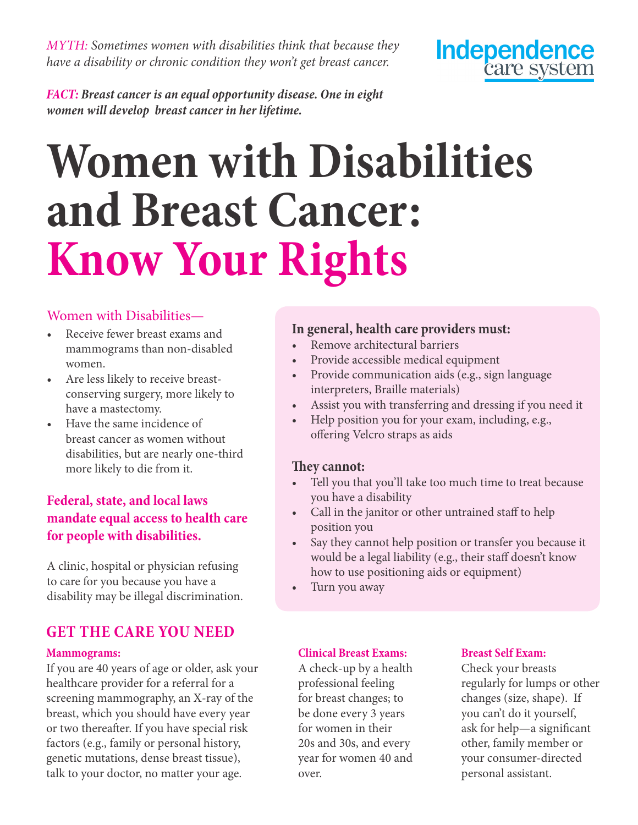*MYTH: Sometimes women with disabilities think that because they have a disability or chronic condition they won't get breast cancer.*



*FACT: Breast cancer is an equal opportunity disease. One in eight women will develop breast cancer in her lifetime.* 

# **Women with Disabilities and Breast Cancer: Know Your Rights**

### Women with Disabilities—

- Receive fewer breast exams and mammograms than non-disabled women.
- Are less likely to receive breastconserving surgery, more likely to have a mastectomy.
- • Have the same incidence of breast cancer as women without disabilities, but are nearly one-third more likely to die from it.

# **Federal, state, and local laws mandate equal access to health care for people with disabilities.**

A clinic, hospital or physician refusing to care for you because you have a disability may be illegal discrimination.

# **GET THE CARE YOU NEED**

#### **Mammograms:**

If you are 40 years of age or older, ask your healthcare provider for a referral for a screening mammography, an X-ray of the breast, which you should have every year or two thereafter. If you have special risk factors (e.g., family or personal history, genetic mutations, dense breast tissue), talk to your doctor, no matter your age.

#### **In general, health care providers must:**

- • Remove architectural barriers
- Provide accessible medical equipment
- Provide communication aids (e.g., sign language interpreters, Braille materials)
- Assist you with transferring and dressing if you need it
- Help position you for your exam, including, e.g., offering Velcro straps as aids

#### **They cannot:**

- Tell you that you'll take too much time to treat because you have a disability
- • Call in the janitor or other untrained staff to help position you
- Say they cannot help position or transfer you because it would be a legal liability (e.g., their staff doesn't know how to use positioning aids or equipment)
- Turn you away

#### **Clinical Breast Exams:**

A check-up by a health professional feeling for breast changes; to be done every 3 years for women in their 20s and 30s, and every year for women 40 and over.

#### **Breast Self Exam:**

Check your breasts regularly for lumps or other changes (size, shape). If you can't do it yourself, ask for help—a significant other, family member or your consumer-directed personal assistant.